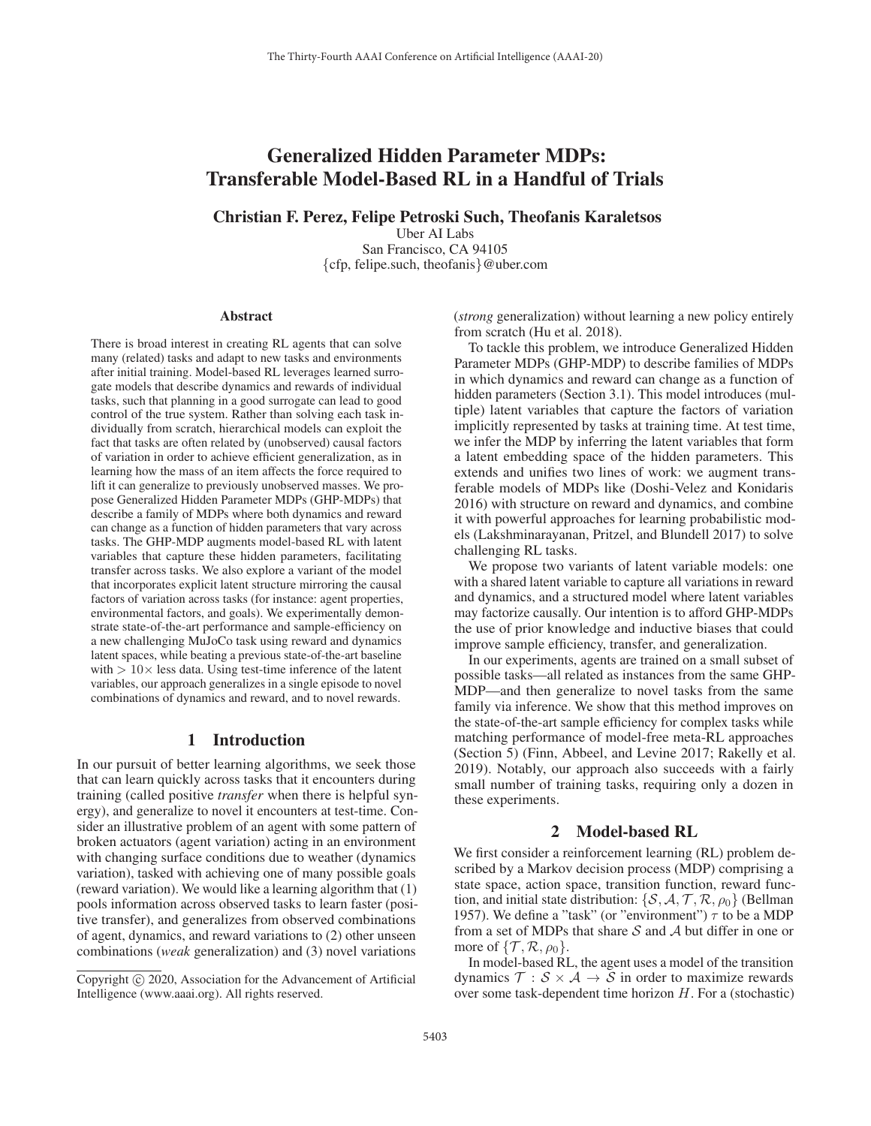# Generalized Hidden Parameter MDPs: Transferable Model-Based RL in a Handful of Trials

## Christian F. Perez, Felipe Petroski Such, Theofanis Karaletsos

Uber AI Labs San Francisco, CA 94105 {cfp, felipe.such, theofanis}@uber.com

#### **Abstract**

There is broad interest in creating RL agents that can solve many (related) tasks and adapt to new tasks and environments after initial training. Model-based RL leverages learned surrogate models that describe dynamics and rewards of individual tasks, such that planning in a good surrogate can lead to good control of the true system. Rather than solving each task individually from scratch, hierarchical models can exploit the fact that tasks are often related by (unobserved) causal factors of variation in order to achieve efficient generalization, as in learning how the mass of an item affects the force required to lift it can generalize to previously unobserved masses. We propose Generalized Hidden Parameter MDPs (GHP-MDPs) that describe a family of MDPs where both dynamics and reward can change as a function of hidden parameters that vary across tasks. The GHP-MDP augments model-based RL with latent variables that capture these hidden parameters, facilitating transfer across tasks. We also explore a variant of the model that incorporates explicit latent structure mirroring the causal factors of variation across tasks (for instance: agent properties, environmental factors, and goals). We experimentally demonstrate state-of-the-art performance and sample-efficiency on a new challenging MuJoCo task using reward and dynamics latent spaces, while beating a previous state-of-the-art baseline with  $> 10 \times$  less data. Using test-time inference of the latent variables, our approach generalizes in a single episode to novel combinations of dynamics and reward, and to novel rewards.

## 1 Introduction

In our pursuit of better learning algorithms, we seek those that can learn quickly across tasks that it encounters during training (called positive *transfer* when there is helpful synergy), and generalize to novel it encounters at test-time. Consider an illustrative problem of an agent with some pattern of broken actuators (agent variation) acting in an environment with changing surface conditions due to weather (dynamics variation), tasked with achieving one of many possible goals (reward variation). We would like a learning algorithm that (1) pools information across observed tasks to learn faster (positive transfer), and generalizes from observed combinations of agent, dynamics, and reward variations to (2) other unseen combinations (*weak* generalization) and (3) novel variations (*strong* generalization) without learning a new policy entirely from scratch (Hu et al. 2018).

To tackle this problem, we introduce Generalized Hidden Parameter MDPs (GHP-MDP) to describe families of MDPs in which dynamics and reward can change as a function of hidden parameters (Section 3.1). This model introduces (multiple) latent variables that capture the factors of variation implicitly represented by tasks at training time. At test time, we infer the MDP by inferring the latent variables that form a latent embedding space of the hidden parameters. This extends and unifies two lines of work: we augment transferable models of MDPs like (Doshi-Velez and Konidaris 2016) with structure on reward and dynamics, and combine it with powerful approaches for learning probabilistic models (Lakshminarayanan, Pritzel, and Blundell 2017) to solve challenging RL tasks.

We propose two variants of latent variable models: one with a shared latent variable to capture all variations in reward and dynamics, and a structured model where latent variables may factorize causally. Our intention is to afford GHP-MDPs the use of prior knowledge and inductive biases that could improve sample efficiency, transfer, and generalization.

In our experiments, agents are trained on a small subset of possible tasks—all related as instances from the same GHP-MDP—and then generalize to novel tasks from the same family via inference. We show that this method improves on the state-of-the-art sample efficiency for complex tasks while matching performance of model-free meta-RL approaches (Section 5) (Finn, Abbeel, and Levine 2017; Rakelly et al. 2019). Notably, our approach also succeeds with a fairly small number of training tasks, requiring only a dozen in these experiments.

## 2 Model-based RL

We first consider a reinforcement learning (RL) problem described by a Markov decision process (MDP) comprising a state space, action space, transition function, reward function, and initial state distribution:  $\{S, A, T, R, \rho_0\}$  (Bellman 1957). We define a "task" (or "environment")  $\tau$  to be a MDP from a set of MDPs that share  $S$  and  $A$  but differ in one or more of  $\{\mathcal{T}, \mathcal{R}, \rho_0\}.$ 

In model-based RL, the agent uses a model of the transition dynamics  $\mathcal{T}: \mathcal{S} \times \mathcal{A} \rightarrow \mathcal{S}$  in order to maximize rewards over some task-dependent time horizon  $H$ . For a (stochastic)

Copyright  $\odot$  2020, Association for the Advancement of Artificial Intelligence (www.aaai.org). All rights reserved.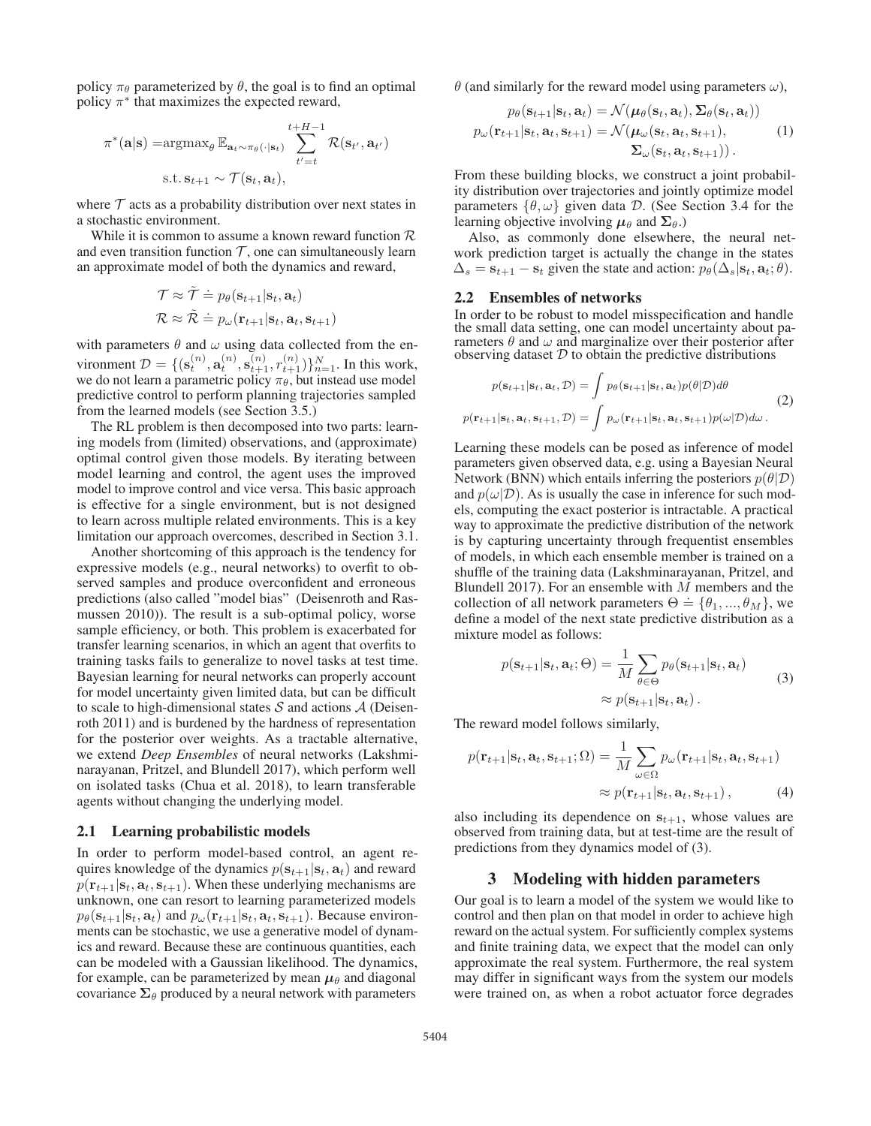policy  $\pi_{\theta}$  parameterized by  $\theta$ , the goal is to find an optimal policy  $\pi^*$  that maximizes the expected reward,

$$
\pi^*(\mathbf{a}|\mathbf{s}) = \operatorname{argmax}_{\theta} \mathbb{E}_{\mathbf{a}_t \sim \pi_{\theta}(\cdot|\mathbf{s}_t)} \sum_{t'=t}^{t+H-1} \mathcal{R}(\mathbf{s}_{t'}, \mathbf{a}_{t'})
$$
  
s.t.  $\mathbf{s}_{t+1} \sim \mathcal{T}(\mathbf{s}_t, \mathbf{a}_t),$ 

where  $\tau$  acts as a probability distribution over next states in a stochastic environment.

While it is common to assume a known reward function  $\mathcal R$ and even transition function  $T$ , one can simultaneously learn an approximate model of both the dynamics and reward,

$$
\mathcal{T} \approx \tilde{\mathcal{T}} \doteq p_{\theta}(\mathbf{s}_{t+1}|\mathbf{s}_{t}, \mathbf{a}_{t})
$$
  

$$
\mathcal{R} \approx \tilde{\mathcal{R}} \doteq p_{\omega}(\mathbf{r}_{t+1}|\mathbf{s}_{t}, \mathbf{a}_{t}, \mathbf{s}_{t+1})
$$

with parameters  $\theta$  and  $\omega$  using data collected from the environment  $\mathcal{D} = \{ (\mathbf{s}_t^{(n)}, \mathbf{a}_t^{(n)}, \mathbf{s}_{t+1}^{(n)}, r_{t+1}^{(n)}) \}_{n=1}^N$ . In this work, we do not learn a parametric policy  $\pi_\theta$ , but instead use model predictive control to perform planning trajectories sampled from the learned models (see Section 3.5.)

The RL problem is then decomposed into two parts: learning models from (limited) observations, and (approximate) optimal control given those models. By iterating between model learning and control, the agent uses the improved model to improve control and vice versa. This basic approach is effective for a single environment, but is not designed to learn across multiple related environments. This is a key limitation our approach overcomes, described in Section 3.1.

Another shortcoming of this approach is the tendency for expressive models (e.g., neural networks) to overfit to observed samples and produce overconfident and erroneous predictions (also called "model bias" (Deisenroth and Rasmussen 2010)). The result is a sub-optimal policy, worse sample efficiency, or both. This problem is exacerbated for transfer learning scenarios, in which an agent that overfits to training tasks fails to generalize to novel tasks at test time. Bayesian learning for neural networks can properly account for model uncertainty given limited data, but can be difficult to scale to high-dimensional states  $S$  and actions  $A$  (Deisenroth 2011) and is burdened by the hardness of representation for the posterior over weights. As a tractable alternative, we extend *Deep Ensembles* of neural networks (Lakshminarayanan, Pritzel, and Blundell 2017), which perform well on isolated tasks (Chua et al. 2018), to learn transferable agents without changing the underlying model.

#### 2.1 Learning probabilistic models

In order to perform model-based control, an agent requires knowledge of the dynamics  $p(\mathbf{s}_{t+1}|\mathbf{s}_t, \mathbf{a}_t)$  and reward  $p(\mathbf{r}_{t+1}|\mathbf{s}_t, \mathbf{a}_t, \mathbf{s}_{t+1})$ . When these underlying mechanisms are unknown, one can resort to learning parameterized models  $p_{\theta}(\mathbf{s}_{t+1}|\mathbf{s}_t, \mathbf{a}_t)$  and  $p_{\omega}(\mathbf{r}_{t+1}|\mathbf{s}_t, \mathbf{a}_t, \mathbf{s}_{t+1})$ . Because environments can be stochastic, we use a generative model of dynamics and reward. Because these are continuous quantities, each can be modeled with a Gaussian likelihood. The dynamics, for example, can be parameterized by mean  $\mu_{\theta}$  and diagonal covariance  $\Sigma_{\theta}$  produced by a neural network with parameters

 $\theta$  (and similarly for the reward model using parameters  $\omega$ ),

$$
p_{\theta}(\mathbf{s}_{t+1}|\mathbf{s}_t, \mathbf{a}_t) = \mathcal{N}(\boldsymbol{\mu}_{\theta}(\mathbf{s}_t, \mathbf{a}_t), \boldsymbol{\Sigma}_{\theta}(\mathbf{s}_t, \mathbf{a}_t))
$$
  

$$
p_{\omega}(\mathbf{r}_{t+1}|\mathbf{s}_t, \mathbf{a}_t, \mathbf{s}_{t+1}) = \mathcal{N}(\boldsymbol{\mu}_{\omega}(\mathbf{s}_t, \mathbf{a}_t, \mathbf{s}_{t+1}),
$$
  

$$
\boldsymbol{\Sigma}_{\omega}(\mathbf{s}_t, \mathbf{a}_t, \mathbf{s}_{t+1})).
$$
 (1)

From these building blocks, we construct a joint probability distribution over trajectories and jointly optimize model parameters  $\{\theta, \omega\}$  given data D. (See Section 3.4 for the learning objective involving  $\mu_{\theta}$  and  $\Sigma_{\theta}$ .)

Also, as commonly done elsewhere, the neural network prediction target is actually the change in the states  $\Delta_s = \mathbf{s}_{t+1} - \mathbf{s}_t$  given the state and action:  $p_\theta(\Delta_s | \mathbf{s}_t, \mathbf{a}_t; \theta)$ .

#### 2.2 Ensembles of networks

In order to be robust to model misspecification and handle the small data setting, one can model uncertainty about parameters  $\theta$  and  $\omega$  and marginalize over their posterior after observing dataset  $D$  to obtain the predictive distributions

$$
p(\mathbf{s}_{t+1}|\mathbf{s}_t, \mathbf{a}_t, \mathcal{D}) = \int p_{\theta}(\mathbf{s}_{t+1}|\mathbf{s}_t, \mathbf{a}_t) p(\theta|\mathcal{D}) d\theta
$$
  

$$
p(\mathbf{r}_{t+1}|\mathbf{s}_t, \mathbf{a}_t, \mathbf{s}_{t+1}, \mathcal{D}) = \int p_{\omega}(\mathbf{r}_{t+1}|\mathbf{s}_t, \mathbf{a}_t, \mathbf{s}_{t+1}) p(\omega|\mathcal{D}) d\omega.
$$
 (2)

Learning these models can be posed as inference of model parameters given observed data, e.g. using a Bayesian Neural Network (BNN) which entails inferring the posteriors  $p(\theta|\mathcal{D})$ and  $p(\omega|\mathcal{D})$ . As is usually the case in inference for such models, computing the exact posterior is intractable. A practical way to approximate the predictive distribution of the network is by capturing uncertainty through frequentist ensembles of models, in which each ensemble member is trained on a shuffle of the training data (Lakshminarayanan, Pritzel, and Blundell 2017). For an ensemble with  $M$  members and the collection of all network parameters  $\Theta = {\theta_1, ..., \theta_M}$ , we define a model of the next state predictive distribution as a mixture model as follows:

$$
p(\mathbf{s}_{t+1}|\mathbf{s}_t, \mathbf{a}_t; \Theta) = \frac{1}{M} \sum_{\theta \in \Theta} p_{\theta}(\mathbf{s}_{t+1}|\mathbf{s}_t, \mathbf{a}_t)
$$

$$
\approx p(\mathbf{s}_{t+1}|\mathbf{s}_t, \mathbf{a}_t).
$$
 (3)

The reward model follows similarly,

$$
p(\mathbf{r}_{t+1}|\mathbf{s}_t, \mathbf{a}_t, \mathbf{s}_{t+1}; \Omega) = \frac{1}{M} \sum_{\omega \in \Omega} p_{\omega}(\mathbf{r}_{t+1}|\mathbf{s}_t, \mathbf{a}_t, \mathbf{s}_{t+1})
$$

$$
\approx p(\mathbf{r}_{t+1}|\mathbf{s}_t, \mathbf{a}_t, \mathbf{s}_{t+1}), \qquad (4)
$$

also including its dependence on  $s_{t+1}$ , whose values are observed from training data, but at test-time are the result of predictions from they dynamics model of (3).

#### 3 Modeling with hidden parameters

Our goal is to learn a model of the system we would like to control and then plan on that model in order to achieve high reward on the actual system. For sufficiently complex systems and finite training data, we expect that the model can only approximate the real system. Furthermore, the real system may differ in significant ways from the system our models were trained on, as when a robot actuator force degrades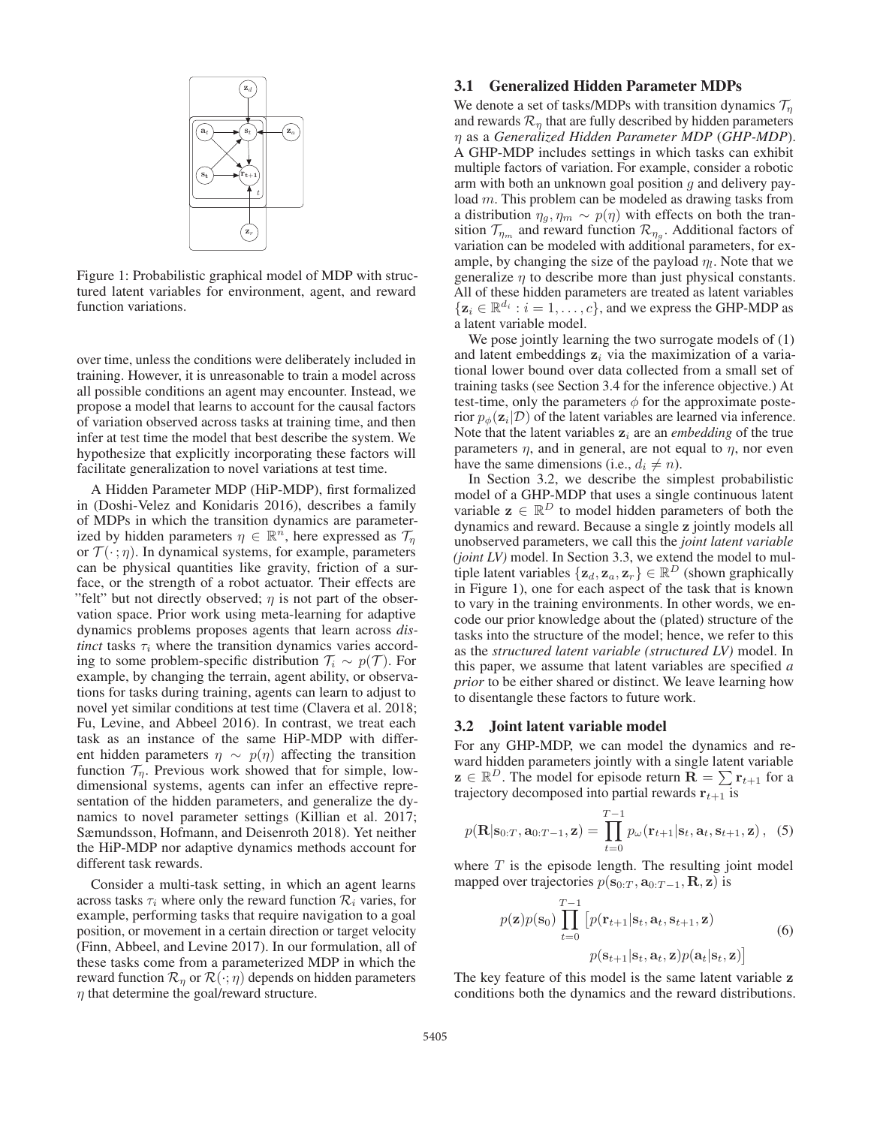

Figure 1: Probabilistic graphical model of MDP with structured latent variables for environment, agent, and reward function variations.

over time, unless the conditions were deliberately included in training. However, it is unreasonable to train a model across all possible conditions an agent may encounter. Instead, we propose a model that learns to account for the causal factors of variation observed across tasks at training time, and then infer at test time the model that best describe the system. We hypothesize that explicitly incorporating these factors will facilitate generalization to novel variations at test time.

A Hidden Parameter MDP (HiP-MDP), first formalized in (Doshi-Velez and Konidaris 2016), describes a family of MDPs in which the transition dynamics are parameterized by hidden parameters  $\eta \in \mathbb{R}^n$ , here expressed as  $\mathcal{T}_\eta$ or  $\mathcal{T}(\cdot; \eta)$ . In dynamical systems, for example, parameters can be physical quantities like gravity, friction of a surface, or the strength of a robot actuator. Their effects are "felt" but not directly observed;  $\eta$  is not part of the observation space. Prior work using meta-learning for adaptive dynamics problems proposes agents that learn across *distinct* tasks  $\tau_i$  where the transition dynamics varies according to some problem-specific distribution  $\mathcal{T}_i \sim p(\mathcal{T})$ . For example, by changing the terrain, agent ability, or observations for tasks during training, agents can learn to adjust to novel yet similar conditions at test time (Clavera et al. 2018; Fu, Levine, and Abbeel 2016). In contrast, we treat each task as an instance of the same HiP-MDP with different hidden parameters  $\eta \sim p(\eta)$  affecting the transition function  $\mathcal{T}_n$ . Previous work showed that for simple, lowdimensional systems, agents can infer an effective representation of the hidden parameters, and generalize the dynamics to novel parameter settings (Killian et al. 2017; Sæmundsson, Hofmann, and Deisenroth 2018). Yet neither the HiP-MDP nor adaptive dynamics methods account for different task rewards.

Consider a multi-task setting, in which an agent learns across tasks  $\tau_i$  where only the reward function  $\mathcal{R}_i$  varies, for example, performing tasks that require navigation to a goal position, or movement in a certain direction or target velocity (Finn, Abbeel, and Levine 2017). In our formulation, all of these tasks come from a parameterized MDP in which the reward function  $\mathcal{R}_\eta$  or  $\mathcal{R}(\cdot; \eta)$  depends on hidden parameters  $\eta$  that determine the goal/reward structure.

## 3.1 Generalized Hidden Parameter MDPs

We denote a set of tasks/MDPs with transition dynamics  $\mathcal{T}_n$ and rewards  $\mathcal{R}_\eta$  that are fully described by hidden parameters η as a *Generalized Hidden Parameter MDP* (*GHP-MDP*). A GHP-MDP includes settings in which tasks can exhibit multiple factors of variation. For example, consider a robotic arm with both an unknown goal position  $q$  and delivery payload m. This problem can be modeled as drawing tasks from a distribution  $\eta_g$ ,  $\eta_m \sim p(\eta)$  with effects on both the transition  $\mathcal{T}_{\eta_m}$  and reward function  $\mathcal{R}_{\eta_g}$ . Additional factors of variation can be modeled with additional parameters, for example, by changing the size of the payload  $\eta_l$ . Note that we generalize  $\eta$  to describe more than just physical constants. All of these hidden parameters are treated as latent variables  $\{z_i \in \mathbb{R}^{d_i} : i = 1, \ldots, c\}$ , and we express the GHP-MDP as a latent variable model.

We pose jointly learning the two surrogate models of  $(1)$ and latent embeddings  $z_i$  via the maximization of a variational lower bound over data collected from a small set of training tasks (see Section 3.4 for the inference objective.) At test-time, only the parameters  $\phi$  for the approximate posterior  $p_{\phi}(\mathbf{z}_i|\mathcal{D})$  of the latent variables are learned via inference. Note that the latent variables  $z_i$  are an *embedding* of the true parameters  $\eta$ , and in general, are not equal to  $\eta$ , nor even have the same dimensions (i.e.,  $d_i \neq n$ ).

In Section 3.2, we describe the simplest probabilistic model of a GHP-MDP that uses a single continuous latent variable  $\mathbf{z} \in \mathbb{R}^D$  to model hidden parameters of both the dynamics and reward. Because a single **z** jointly models all unobserved parameters, we call this the *joint latent variable (joint LV)* model. In Section 3.3, we extend the model to multiple latent variables  $\{z_d, z_a, z_r\} \in \mathbb{R}^D$  (shown graphically in Figure 1), one for each aspect of the task that is known to vary in the training environments. In other words, we encode our prior knowledge about the (plated) structure of the tasks into the structure of the model; hence, we refer to this as the *structured latent variable (structured LV)* model. In this paper, we assume that latent variables are specified *a prior* to be either shared or distinct. We leave learning how to disentangle these factors to future work.

#### 3.2 Joint latent variable model

For any GHP-MDP, we can model the dynamics and reward hidden parameters jointly with a single latent variable  $\mathbf{z} \in \mathbb{R}^D$ . The model for episode return  $\mathbf{R} = \sum_{t+1} \mathbf{r}_t$  for a trajectory decomposed into partial rewards  $\mathbf{r}_{t+1}$  is

$$
p(\mathbf{R}|\mathbf{s}_{0:T}, \mathbf{a}_{0:T-1}, \mathbf{z}) = \prod_{t=0}^{T-1} p_{\omega}(\mathbf{r}_{t+1}|\mathbf{s}_t, \mathbf{a}_t, \mathbf{s}_{t+1}, \mathbf{z}), \quad (5)
$$

where  $T$  is the episode length. The resulting joint model mapped over trajectories  $p(\mathbf{s}_{0:T}, \mathbf{a}_{0:T-1}, \mathbf{R}, \mathbf{z})$  is

$$
p(\mathbf{z})p(\mathbf{s}_0)\prod_{t=0}^{T-1} \left[p(\mathbf{r}_{t+1}|\mathbf{s}_t, \mathbf{a}_t, \mathbf{s}_{t+1}, \mathbf{z})\right] \tag{6}
$$

$$
p(\mathbf{s}_{t+1}|\mathbf{s}_t, \mathbf{a}_t, \mathbf{z})p(\mathbf{a}_t|\mathbf{s}_t, \mathbf{z})\right]
$$

The key feature of this model is the same latent variable **z** conditions both the dynamics and the reward distributions.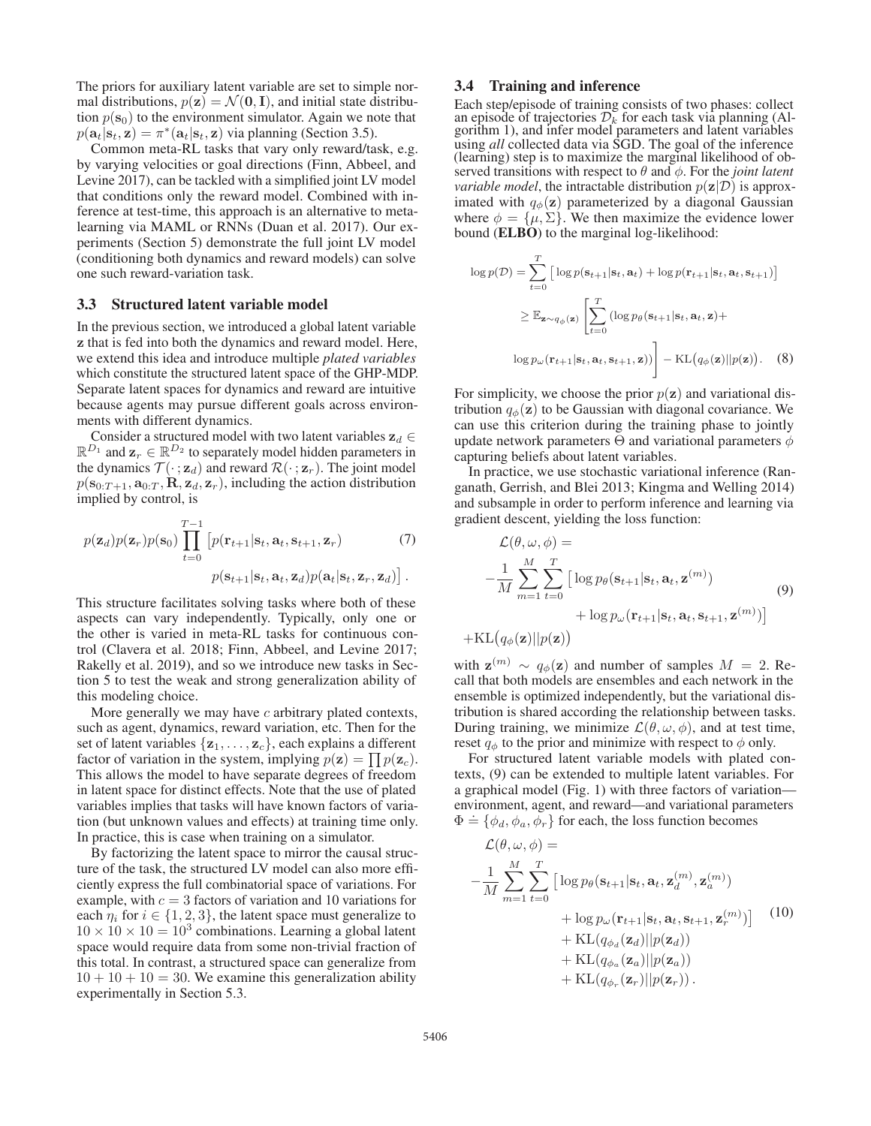The priors for auxiliary latent variable are set to simple normal distributions,  $p(\mathbf{z}) = \mathcal{N}(\mathbf{0}, \mathbf{I})$ , and initial state distribution  $p(\mathbf{s}_0)$  to the environment simulator. Again we note that  $p(\mathbf{a}_t|\mathbf{s}_t, \mathbf{z}) = \pi^*(\mathbf{a}_t|\mathbf{s}_t, \mathbf{z})$  via planning (Section 3.5).

Common meta-RL tasks that vary only reward/task, e.g. by varying velocities or goal directions (Finn, Abbeel, and Levine 2017), can be tackled with a simplified joint LV model that conditions only the reward model. Combined with inference at test-time, this approach is an alternative to metalearning via MAML or RNNs (Duan et al. 2017). Our experiments (Section 5) demonstrate the full joint LV model (conditioning both dynamics and reward models) can solve one such reward-variation task.

## 3.3 Structured latent variable model

In the previous section, we introduced a global latent variable **z** that is fed into both the dynamics and reward model. Here, we extend this idea and introduce multiple *plated variables* which constitute the structured latent space of the GHP-MDP. Separate latent spaces for dynamics and reward are intuitive because agents may pursue different goals across environments with different dynamics.

Consider a structured model with two latent variables  $\mathbf{z}_d$   $\in$  $\mathbb{R}^{D_1}$  and  $\mathbf{z}_r \in \mathbb{R}^{D_2}$  to separately model hidden parameters in the dynamics  $\mathcal{T}(\cdot; \mathbf{z}_d)$  and reward  $\mathcal{R}(\cdot; \mathbf{z}_r)$ . The joint model  $p(\mathbf{s}_{0:T+1}, \mathbf{a}_{0:T}, \mathbf{R}, \mathbf{z}_d, \mathbf{z}_r)$ , including the action distribution implied by control, is

$$
p(\mathbf{z}_d)p(\mathbf{z}_r)p(\mathbf{s}_0)\prod_{t=0}^{T-1} \left[p(\mathbf{r}_{t+1}|\mathbf{s}_t,\mathbf{a}_t,\mathbf{s}_{t+1},\mathbf{z}_r) \right] \tag{7}
$$

$$
p(\mathbf{s}_{t+1}|\mathbf{s}_t,\mathbf{a}_t,\mathbf{z}_d)p(\mathbf{a}_t|\mathbf{s}_t,\mathbf{z}_r,\mathbf{z}_d)\right].
$$

This structure facilitates solving tasks where both of these aspects can vary independently. Typically, only one or the other is varied in meta-RL tasks for continuous control (Clavera et al. 2018; Finn, Abbeel, and Levine 2017; Rakelly et al. 2019), and so we introduce new tasks in Section 5 to test the weak and strong generalization ability of this modeling choice.

More generally we may have  $c$  arbitrary plated contexts, such as agent, dynamics, reward variation, etc. Then for the set of latent variables  $\{z_1, \ldots, z_c\}$ , each explains a different factor of variation in the system, implying  $p(\mathbf{z}) = \prod p(\mathbf{z}_c)$ . This allows the model to have separate degrees of freedom in latent space for distinct effects. Note that the use of plated variables implies that tasks will have known factors of variation (but unknown values and effects) at training time only. In practice, this is case when training on a simulator.

By factorizing the latent space to mirror the causal structure of the task, the structured LV model can also more efficiently express the full combinatorial space of variations. For example, with  $c = 3$  factors of variation and 10 variations for each  $\eta_i$  for  $i \in \{1, 2, 3\}$ , the latent space must generalize to  $10 \times 10 \times 10 = 10<sup>3</sup>$  combinations. Learning a global latent space would require data from some non-trivial fraction of this total. In contrast, a structured space can generalize from  $10 + 10 + 10 = 30$ . We examine this generalization ability experimentally in Section 5.3.

## 3.4 Training and inference

Each step/episode of training consists of two phases: collect an episode of trajectories  $\mathcal{D}_k$  for each task via planning (Al-gorithm 1), and infer model parameters and latent variables using *all* collected data via SGD. The goal of the inference (learning) step is to maximize the marginal likelihood of observed transitions with respect to  $\theta$  and  $\phi$ . For the *joint latent variable model*, the intractable distribution  $p(\mathbf{z}|\mathcal{D})$  is approximated with  $q_{\phi}(\mathbf{z})$  parameterized by a diagonal Gaussian where  $\phi = {\mu, \Sigma}$ . We then maximize the evidence lower bound (ELBO) to the marginal log-likelihood:

$$
\log p(\mathcal{D}) = \sum_{t=0}^{T} \left[ \log p(\mathbf{s}_{t+1}|\mathbf{s}_t, \mathbf{a}_t) + \log p(\mathbf{r}_{t+1}|\mathbf{s}_t, \mathbf{a}_t, \mathbf{s}_{t+1}) \right]
$$
  
\n
$$
\geq \mathbb{E}_{\mathbf{z} \sim q_{\phi}(\mathbf{z})} \left[ \sum_{t=0}^{T} \left( \log p_{\theta}(\mathbf{s}_{t+1}|\mathbf{s}_t, \mathbf{a}_t, \mathbf{z}) + \log p_{\omega}(\mathbf{r}_{t+1}|\mathbf{s}_t, \mathbf{a}_t, \mathbf{s}_{t+1}, \mathbf{z}) \right) \right] - \text{KL}(q_{\phi}(\mathbf{z})||p(\mathbf{z})). \quad (8)
$$

For simplicity, we choose the prior  $p(z)$  and variational distribution  $q_{\phi}(\mathbf{z})$  to be Gaussian with diagonal covariance. We can use this criterion during the training phase to jointly update network parameters  $\Theta$  and variational parameters  $\phi$ capturing beliefs about latent variables.

In practice, we use stochastic variational inference (Ranganath, Gerrish, and Blei 2013; Kingma and Welling 2014) and subsample in order to perform inference and learning via gradient descent, yielding the loss function:

$$
\mathcal{L}(\theta, \omega, \phi) =
$$
\n
$$
-\frac{1}{M} \sum_{m=1}^{M} \sum_{t=0}^{T} \left[ \log p_{\theta}(\mathbf{s}_{t+1}|\mathbf{s}_{t}, \mathbf{a}_{t}, \mathbf{z}^{(m)}) + \log p_{\omega}(\mathbf{r}_{t+1}|\mathbf{s}_{t}, \mathbf{a}_{t}, \mathbf{s}_{t+1}, \mathbf{z}^{(m)}) \right]
$$
\n
$$
+ \text{KL}(q_{\phi}(\mathbf{z})||p(\mathbf{z})) \tag{9}
$$

with  $\mathbf{z}^{(m)} \sim q_{\phi}(\mathbf{z})$  and number of samples  $M = 2$ . Recall that both models are ensembles and each network in the ensemble is optimized independently, but the variational distribution is shared according the relationship between tasks. During training, we minimize  $\mathcal{L}(\theta, \omega, \phi)$ , and at test time, reset  $q_{\phi}$  to the prior and minimize with respect to  $\phi$  only.

For structured latent variable models with plated contexts, (9) can be extended to multiple latent variables. For a graphical model (Fig. 1) with three factors of variation environment, agent, and reward—and variational parameters  $\Phi = {\phi_d, \phi_a, \phi_r}$  for each, the loss function becomes

$$
\mathcal{L}(\theta, \omega, \phi) =
$$
\n
$$
-\frac{1}{M} \sum_{m=1}^{M} \sum_{t=0}^{T} \left[ \log p_{\theta}(\mathbf{s}_{t+1}|\mathbf{s}_{t}, \mathbf{a}_{t}, \mathbf{z}_{d}^{(m)}, \mathbf{z}_{a}^{(m)}) + \log p_{\omega}(\mathbf{r}_{t+1}|\mathbf{s}_{t}, \mathbf{a}_{t}, \mathbf{s}_{t+1}, \mathbf{z}_{r}^{(m)}) \right] (10) + \text{KL}(q_{\phi_{a}}(\mathbf{z}_{d}) || p(\mathbf{z}_{d})) + \text{KL}(q_{\phi_{a}}(\mathbf{z}_{a}) || p(\mathbf{z}_{a})) + \text{KL}(q_{\phi_{r}}(\mathbf{z}_{r}) || p(\mathbf{z}_{r})).
$$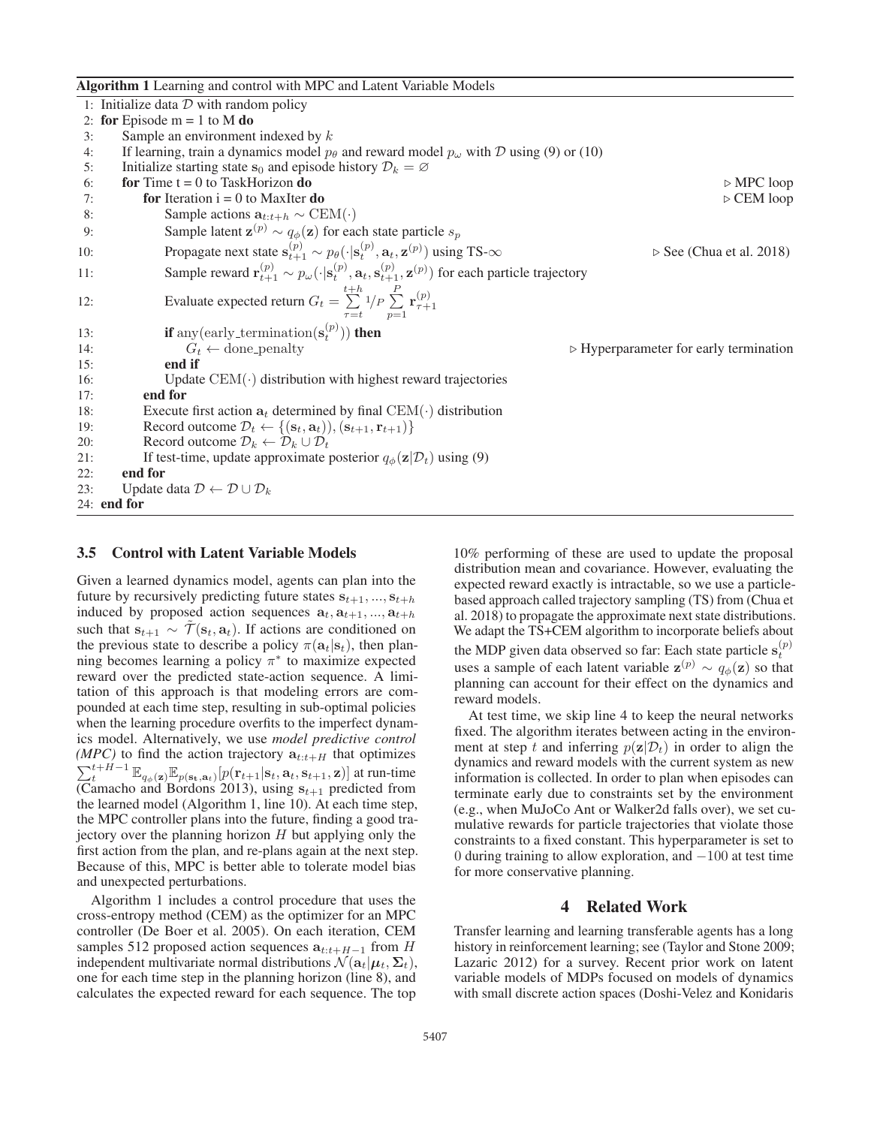Algorithm 1 Learning and control with MPC and Latent Variable Models

|                    | 1: Initialize data $D$ with random policy                                                                                                                               |                                                       |
|--------------------|-------------------------------------------------------------------------------------------------------------------------------------------------------------------------|-------------------------------------------------------|
|                    | 2: for Episode $m = 1$ to M do                                                                                                                                          |                                                       |
| 3:                 | Sample an environment indexed by $k$                                                                                                                                    |                                                       |
| 4:                 | If learning, train a dynamics model $p_{\theta}$ and reward model $p_{\omega}$ with D using (9) or (10)                                                                 |                                                       |
| 5:                 | Initialize starting state $s_0$ and episode history $\mathcal{D}_k = \emptyset$                                                                                         |                                                       |
| 6:                 | for Time $t = 0$ to TaskHorizon do                                                                                                                                      | $\triangleright$ MPC loop                             |
| 7:                 | for Iteration $i = 0$ to MaxIter do                                                                                                                                     | $\triangleright$ CEM loop                             |
| 8:                 | Sample actions $\mathbf{a}_{t:t+h} \sim \text{CEM}(\cdot)$                                                                                                              |                                                       |
| 9:                 | Sample latent $\mathbf{z}^{(p)} \sim q_{\phi}(\mathbf{z})$ for each state particle $s_p$                                                                                |                                                       |
| 10:                | Propagate next state $\mathbf{s}_{t+1}^{(p)} \sim p_{\theta}(\cdot   \mathbf{s}_{t}^{(p)}, \mathbf{a}_{t}, \mathbf{z}^{(p)})$ using TS- $\infty$                        | $\triangleright$ See (Chua et al. 2018)               |
| 11:                | Sample reward $\mathbf{r}_{t+1}^{(p)} \sim p_{\omega}(\cdot   \mathbf{s}_t^{(p)}, \mathbf{a}_t, \mathbf{s}_{t+1}^{(p)}, \mathbf{z}^{(p)})$ for each particle trajectory |                                                       |
| 12:                | Evaluate expected return $G_t = \sum_{\tau=t}^{t+h} 1/p \sum_{p=1}^P \mathbf{r}_{\tau+1}^{(p)}$                                                                         |                                                       |
| 13:                | <b>if</b> any (early_termination( $\mathbf{s}_{t}^{(p)}$ )) <b>then</b>                                                                                                 |                                                       |
| 14:                | $G_t \leftarrow$ done-penalty                                                                                                                                           | $\triangleright$ Hyperparameter for early termination |
| 15:                | end if                                                                                                                                                                  |                                                       |
| 16:                | Update $CEM(\cdot)$ distribution with highest reward trajectories                                                                                                       |                                                       |
| 17:                | end for                                                                                                                                                                 |                                                       |
| 18:                | Execute first action $a_t$ determined by final CEM( $\cdot$ ) distribution                                                                                              |                                                       |
| 19:                | Record outcome $\mathcal{D}_t \leftarrow \{(\mathbf{s}_t, \mathbf{a}_t), (\mathbf{s}_{t+1}, \mathbf{r}_{t+1})\}$                                                        |                                                       |
| 20:                | Record outcome $\mathcal{D}_k \leftarrow \mathcal{D}_k \cup \mathcal{D}_t$                                                                                              |                                                       |
| 21:                | If test-time, update approximate posterior $q_{\phi}(\mathbf{z} \mathcal{D}_t)$ using (9)                                                                               |                                                       |
| 22:                | end for                                                                                                                                                                 |                                                       |
| 23:                | Update data $\mathcal{D} \leftarrow \mathcal{D} \cup \mathcal{D}_k$                                                                                                     |                                                       |
| 24: <b>end for</b> |                                                                                                                                                                         |                                                       |

#### 3.5 Control with Latent Variable Models

Given a learned dynamics model, agents can plan into the future by recursively predicting future states  $s_{t+1}, ..., s_{t+h}$ induced by proposed action sequences  $a_t$ ,  $a_{t+1}$ , ...,  $a_{t+h}$ such that  $\mathbf{s}_{t+1} \sim \mathcal{T}(\mathbf{s}_t, \mathbf{a}_t)$ . If actions are conditioned on the previous state to describe a policy  $\pi(\mathbf{a}_t|\mathbf{s}_t)$ , then planning becomes learning a policy  $\pi^*$  to maximize expected reward over the predicted state-action sequence. A limitation of this approach is that modeling errors are compounded at each time step, resulting in sub-optimal policies when the learning procedure overfits to the imperfect dynamics model. Alternatively, we use *model predictive control (MPC)* to find the action trajectory  $a_{t:t+H}$  that optimizes  $\sum_{t}^{t+H-1} \mathbb{E}_{q_{\phi}(\mathbf{z})} \mathbb{E}_{p(\mathbf{s}_t, \mathbf{a}_t)} [p(\mathbf{r}_{t+1}|\mathbf{s}_t, \mathbf{a}_t, \mathbf{s}_{t+1}, \mathbf{z})]$  at run-time (Camacho and Bordons 2013), using  $s_{t+1}$  predicted from the learned model (Algorithm 1, line 10). At each time step, the MPC controller plans into the future, finding a good trajectory over the planning horizon  $H$  but applying only the first action from the plan, and re-plans again at the next step. Because of this, MPC is better able to tolerate model bias and unexpected perturbations.

Algorithm 1 includes a control procedure that uses the cross-entropy method (CEM) as the optimizer for an MPC controller (De Boer et al. 2005). On each iteration, CEM samples 512 proposed action sequences  $a_{t:t+H-1}$  from H independent multivariate normal distributions  $\mathcal{N}(\mathbf{a}_t|\boldsymbol{\mu}_t, \boldsymbol{\Sigma}_t)$ , one for each time step in the planning horizon (line 8), and calculates the expected reward for each sequence. The top

10% performing of these are used to update the proposal distribution mean and covariance. However, evaluating the expected reward exactly is intractable, so we use a particlebased approach called trajectory sampling (TS) from (Chua et al. 2018) to propagate the approximate next state distributions. We adapt the TS+CEM algorithm to incorporate beliefs about the MDP given data observed so far: Each state particle  $\mathbf{s}_{t}^{(p)}$ uses a sample of each latent variable  $z^{(p)} \sim q_{\phi}(z)$  so that planning can account for their effect on the dynamics and reward models.

At test time, we skip line 4 to keep the neural networks fixed. The algorithm iterates between acting in the environment at step t and inferring  $p(\mathbf{z}|\mathcal{D}_t)$  in order to align the dynamics and reward models with the current system as new information is collected. In order to plan when episodes can terminate early due to constraints set by the environment (e.g., when MuJoCo Ant or Walker2d falls over), we set cumulative rewards for particle trajectories that violate those constraints to a fixed constant. This hyperparameter is set to 0 during training to allow exploration, and −100 at test time for more conservative planning.

## 4 Related Work

Transfer learning and learning transferable agents has a long history in reinforcement learning; see (Taylor and Stone 2009; Lazaric 2012) for a survey. Recent prior work on latent variable models of MDPs focused on models of dynamics with small discrete action spaces (Doshi-Velez and Konidaris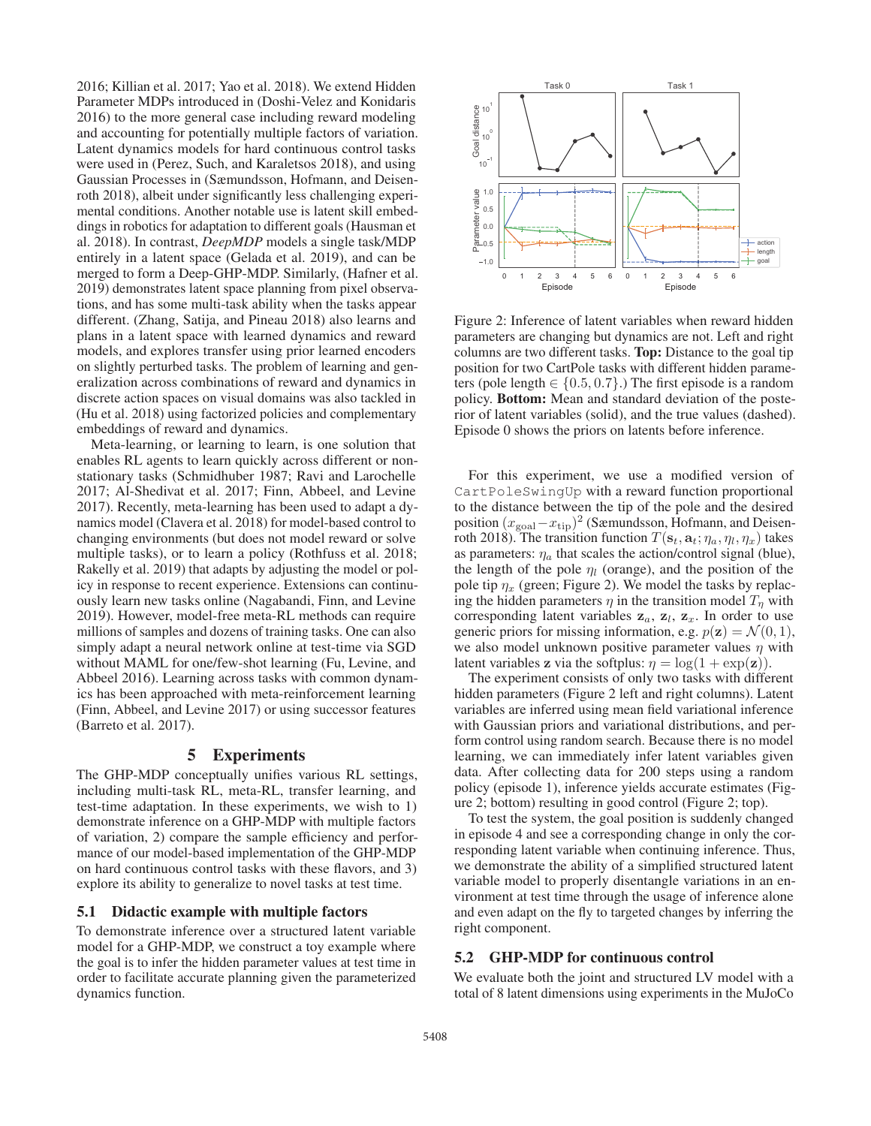2016; Killian et al. 2017; Yao et al. 2018). We extend Hidden Parameter MDPs introduced in (Doshi-Velez and Konidaris 2016) to the more general case including reward modeling and accounting for potentially multiple factors of variation. Latent dynamics models for hard continuous control tasks were used in (Perez, Such, and Karaletsos 2018), and using Gaussian Processes in (Sæmundsson, Hofmann, and Deisenroth 2018), albeit under significantly less challenging experimental conditions. Another notable use is latent skill embeddings in robotics for adaptation to different goals (Hausman et al. 2018). In contrast, *DeepMDP* models a single task/MDP entirely in a latent space (Gelada et al. 2019), and can be merged to form a Deep-GHP-MDP. Similarly, (Hafner et al. 2019) demonstrates latent space planning from pixel observations, and has some multi-task ability when the tasks appear different. (Zhang, Satija, and Pineau 2018) also learns and plans in a latent space with learned dynamics and reward models, and explores transfer using prior learned encoders on slightly perturbed tasks. The problem of learning and generalization across combinations of reward and dynamics in discrete action spaces on visual domains was also tackled in (Hu et al. 2018) using factorized policies and complementary embeddings of reward and dynamics.

Meta-learning, or learning to learn, is one solution that enables RL agents to learn quickly across different or nonstationary tasks (Schmidhuber 1987; Ravi and Larochelle 2017; Al-Shedivat et al. 2017; Finn, Abbeel, and Levine 2017). Recently, meta-learning has been used to adapt a dynamics model (Clavera et al. 2018) for model-based control to changing environments (but does not model reward or solve multiple tasks), or to learn a policy (Rothfuss et al. 2018; Rakelly et al. 2019) that adapts by adjusting the model or policy in response to recent experience. Extensions can continuously learn new tasks online (Nagabandi, Finn, and Levine 2019). However, model-free meta-RL methods can require millions of samples and dozens of training tasks. One can also simply adapt a neural network online at test-time via SGD without MAML for one/few-shot learning (Fu, Levine, and Abbeel 2016). Learning across tasks with common dynamics has been approached with meta-reinforcement learning (Finn, Abbeel, and Levine 2017) or using successor features (Barreto et al. 2017).

## 5 Experiments

The GHP-MDP conceptually unifies various RL settings, including multi-task RL, meta-RL, transfer learning, and test-time adaptation. In these experiments, we wish to 1) demonstrate inference on a GHP-MDP with multiple factors of variation, 2) compare the sample efficiency and performance of our model-based implementation of the GHP-MDP on hard continuous control tasks with these flavors, and 3) explore its ability to generalize to novel tasks at test time.

## 5.1 Didactic example with multiple factors

To demonstrate inference over a structured latent variable model for a GHP-MDP, we construct a toy example where the goal is to infer the hidden parameter values at test time in order to facilitate accurate planning given the parameterized dynamics function.



Figure 2: Inference of latent variables when reward hidden parameters are changing but dynamics are not. Left and right columns are two different tasks. Top: Distance to the goal tip position for two CartPole tasks with different hidden parameters (pole length  $\in \{0.5, 0.7\}$ .) The first episode is a random policy. Bottom: Mean and standard deviation of the posterior of latent variables (solid), and the true values (dashed). Episode 0 shows the priors on latents before inference.

For this experiment, we use a modified version of CartPoleSwingUp with a reward function proportional to the distance between the tip of the pole and the desired position  $(x_{\text{goal}}-x_{\text{tip}})^2$  (Sæmundsson, Hofmann, and Deisenroth 2018). The transition function  $T(\mathbf{s}_t, \mathbf{a}_t; \eta_a, \eta_l, \eta_x)$  takes as parameters:  $\eta_a$  that scales the action/control signal (blue), the length of the pole  $\eta_l$  (orange), and the position of the pole tip  $\eta_x$  (green; Figure 2). We model the tasks by replacing the hidden parameters  $\eta$  in the transition model  $T_n$  with corresponding latent variables  $z_a$ ,  $z_l$ ,  $z_x$ . In order to use generic priors for missing information, e.g.  $p(\mathbf{z}) = \mathcal{N}(0, 1)$ , we also model unknown positive parameter values  $\eta$  with latent variables **z** via the softplus:  $\eta = \log(1 + \exp(\mathbf{z}))$ .

The experiment consists of only two tasks with different hidden parameters (Figure 2 left and right columns). Latent variables are inferred using mean field variational inference with Gaussian priors and variational distributions, and perform control using random search. Because there is no model learning, we can immediately infer latent variables given data. After collecting data for 200 steps using a random policy (episode 1), inference yields accurate estimates (Figure 2; bottom) resulting in good control (Figure 2; top).

To test the system, the goal position is suddenly changed in episode 4 and see a corresponding change in only the corresponding latent variable when continuing inference. Thus, we demonstrate the ability of a simplified structured latent variable model to properly disentangle variations in an environment at test time through the usage of inference alone and even adapt on the fly to targeted changes by inferring the right component.

#### 5.2 GHP-MDP for continuous control

We evaluate both the joint and structured LV model with a total of 8 latent dimensions using experiments in the MuJoCo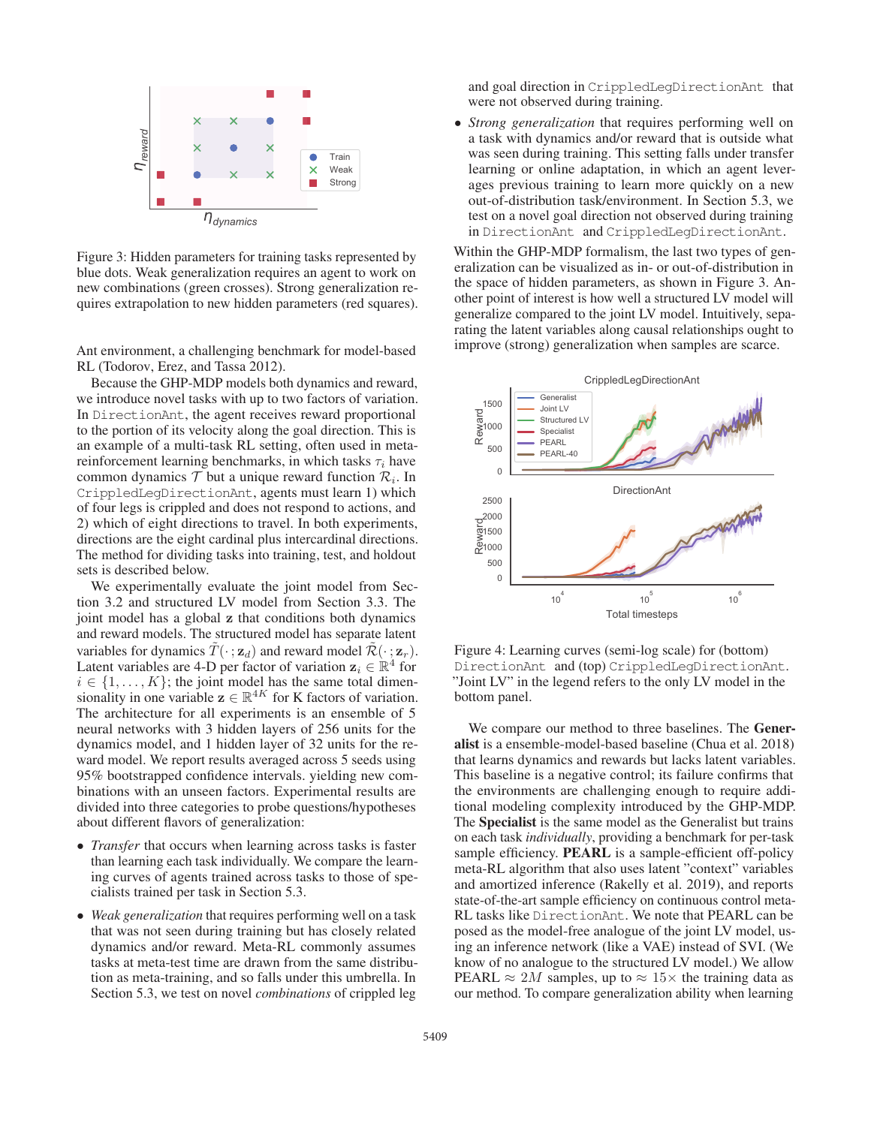

Figure 3: Hidden parameters for training tasks represented by blue dots. Weak generalization requires an agent to work on new combinations (green crosses). Strong generalization requires extrapolation to new hidden parameters (red squares).

Ant environment, a challenging benchmark for model-based RL (Todorov, Erez, and Tassa 2012).

Because the GHP-MDP models both dynamics and reward, we introduce novel tasks with up to two factors of variation. In DirectionAnt, the agent receives reward proportional to the portion of its velocity along the goal direction. This is an example of a multi-task RL setting, often used in metareinforcement learning benchmarks, in which tasks  $\tau_i$  have common dynamics  $T$  but a unique reward function  $\mathcal{R}_i$ . In CrippledLegDirectionAnt, agents must learn 1) which of four legs is crippled and does not respond to actions, and 2) which of eight directions to travel. In both experiments, directions are the eight cardinal plus intercardinal directions. The method for dividing tasks into training, test, and holdout sets is described below.

We experimentally evaluate the joint model from Section 3.2 and structured LV model from Section 3.3. The joint model has a global **z** that conditions both dynamics and reward models. The structured model has separate latent variables for dynamics  $T(\cdot; \mathbf{z}_d)$  and reward model  $\mathcal{R}(\cdot; \mathbf{z}_r)$ . Latent variables are 4-D per factor of variation  $z_i \in \mathbb{R}^4$  for  $i \in \{1, \ldots, K\}$ ; the joint model has the same total dimensionality in one variable  $z \in \mathbb{R}^{4K}$  for K factors of variation. The architecture for all experiments is an ensemble of 5 neural networks with 3 hidden layers of 256 units for the dynamics model, and 1 hidden layer of 32 units for the reward model. We report results averaged across 5 seeds using 95% bootstrapped confidence intervals. yielding new combinations with an unseen factors. Experimental results are divided into three categories to probe questions/hypotheses about different flavors of generalization:

- *Transfer* that occurs when learning across tasks is faster than learning each task individually. We compare the learning curves of agents trained across tasks to those of specialists trained per task in Section 5.3.
- *Weak generalization* that requires performing well on a task that was not seen during training but has closely related dynamics and/or reward. Meta-RL commonly assumes tasks at meta-test time are drawn from the same distribution as meta-training, and so falls under this umbrella. In Section 5.3, we test on novel *combinations* of crippled leg

and goal direction in CrippledLegDirectionAnt that were not observed during training.

• *Strong generalization* that requires performing well on a task with dynamics and/or reward that is outside what was seen during training. This setting falls under transfer learning or online adaptation, in which an agent leverages previous training to learn more quickly on a new out-of-distribution task/environment. In Section 5.3, we test on a novel goal direction not observed during training in DirectionAnt and CrippledLegDirectionAnt.

Within the GHP-MDP formalism, the last two types of generalization can be visualized as in- or out-of-distribution in the space of hidden parameters, as shown in Figure 3. Another point of interest is how well a structured LV model will generalize compared to the joint LV model. Intuitively, separating the latent variables along causal relationships ought to improve (strong) generalization when samples are scarce.



Figure 4: Learning curves (semi-log scale) for (bottom) DirectionAnt and (top) CrippledLegDirectionAnt. "Joint LV" in the legend refers to the only LV model in the bottom panel.

We compare our method to three baselines. The Generalist is a ensemble-model-based baseline (Chua et al. 2018) that learns dynamics and rewards but lacks latent variables. This baseline is a negative control; its failure confirms that the environments are challenging enough to require additional modeling complexity introduced by the GHP-MDP. The Specialist is the same model as the Generalist but trains on each task *individually*, providing a benchmark for per-task sample efficiency. PEARL is a sample-efficient off-policy meta-RL algorithm that also uses latent "context" variables and amortized inference (Rakelly et al. 2019), and reports state-of-the-art sample efficiency on continuous control meta-RL tasks like DirectionAnt. We note that PEARL can be posed as the model-free analogue of the joint LV model, using an inference network (like a VAE) instead of SVI. (We know of no analogue to the structured LV model.) We allow PEARL  $\approx 2M$  samples, up to  $\approx 15 \times$  the training data as our method. To compare generalization ability when learning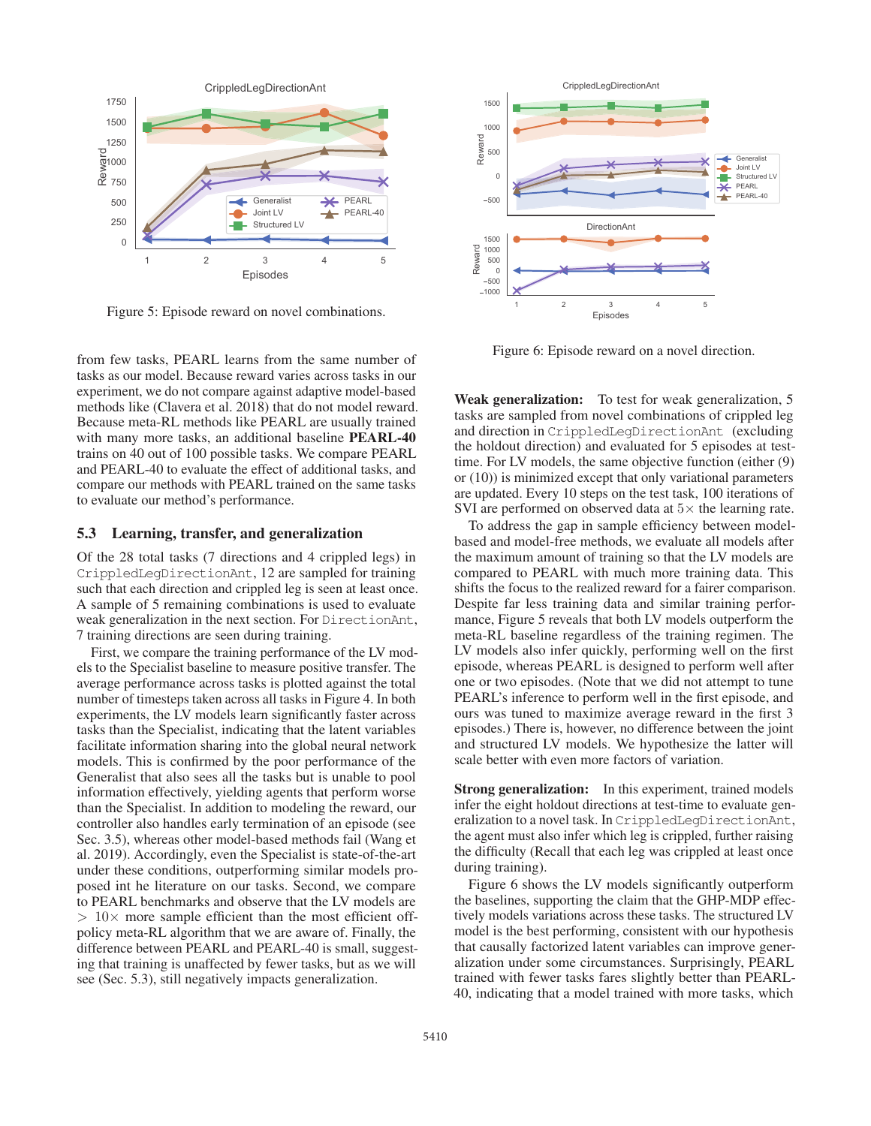

Figure 5: Episode reward on novel combinations.

from few tasks, PEARL learns from the same number of tasks as our model. Because reward varies across tasks in our experiment, we do not compare against adaptive model-based methods like (Clavera et al. 2018) that do not model reward. Because meta-RL methods like PEARL are usually trained with many more tasks, an additional baseline **PEARL-40** trains on 40 out of 100 possible tasks. We compare PEARL and PEARL-40 to evaluate the effect of additional tasks, and compare our methods with PEARL trained on the same tasks to evaluate our method's performance.

## 5.3 Learning, transfer, and generalization

Of the 28 total tasks (7 directions and 4 crippled legs) in CrippledLegDirectionAnt, 12 are sampled for training such that each direction and crippled leg is seen at least once. A sample of 5 remaining combinations is used to evaluate weak generalization in the next section. For DirectionAnt, 7 training directions are seen during training.

First, we compare the training performance of the LV models to the Specialist baseline to measure positive transfer. The average performance across tasks is plotted against the total number of timesteps taken across all tasks in Figure 4. In both experiments, the LV models learn significantly faster across tasks than the Specialist, indicating that the latent variables facilitate information sharing into the global neural network models. This is confirmed by the poor performance of the Generalist that also sees all the tasks but is unable to pool information effectively, yielding agents that perform worse than the Specialist. In addition to modeling the reward, our controller also handles early termination of an episode (see Sec. 3.5), whereas other model-based methods fail (Wang et al. 2019). Accordingly, even the Specialist is state-of-the-art under these conditions, outperforming similar models proposed int he literature on our tasks. Second, we compare to PEARL benchmarks and observe that the LV models are  $> 10\times$  more sample efficient than the most efficient offpolicy meta-RL algorithm that we are aware of. Finally, the difference between PEARL and PEARL-40 is small, suggesting that training is unaffected by fewer tasks, but as we will see (Sec. 5.3), still negatively impacts generalization.



Figure 6: Episode reward on a novel direction.

Weak generalization: To test for weak generalization, 5 tasks are sampled from novel combinations of crippled leg and direction in CrippledLegDirectionAnt (excluding the holdout direction) and evaluated for 5 episodes at testtime. For LV models, the same objective function (either (9) or (10)) is minimized except that only variational parameters are updated. Every 10 steps on the test task, 100 iterations of SVI are performed on observed data at  $5\times$  the learning rate.

To address the gap in sample efficiency between modelbased and model-free methods, we evaluate all models after the maximum amount of training so that the LV models are compared to PEARL with much more training data. This shifts the focus to the realized reward for a fairer comparison. Despite far less training data and similar training performance, Figure 5 reveals that both LV models outperform the meta-RL baseline regardless of the training regimen. The LV models also infer quickly, performing well on the first episode, whereas PEARL is designed to perform well after one or two episodes. (Note that we did not attempt to tune PEARL's inference to perform well in the first episode, and ours was tuned to maximize average reward in the first 3 episodes.) There is, however, no difference between the joint and structured LV models. We hypothesize the latter will scale better with even more factors of variation.

Strong generalization: In this experiment, trained models infer the eight holdout directions at test-time to evaluate generalization to a novel task. In CrippledLegDirectionAnt, the agent must also infer which leg is crippled, further raising the difficulty (Recall that each leg was crippled at least once during training).

Figure 6 shows the LV models significantly outperform the baselines, supporting the claim that the GHP-MDP effectively models variations across these tasks. The structured LV model is the best performing, consistent with our hypothesis that causally factorized latent variables can improve generalization under some circumstances. Surprisingly, PEARL trained with fewer tasks fares slightly better than PEARL-40, indicating that a model trained with more tasks, which